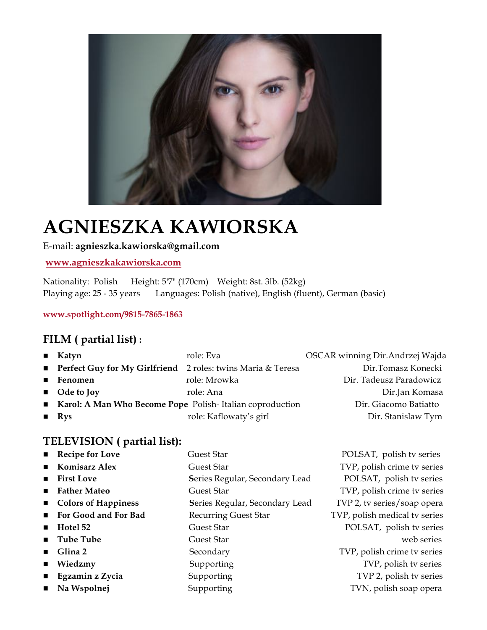

# **AGNIESZKA KAWIORSKA**

#### E-mail: **agnieszka.kawiorska@gmail.com**

**www.agnieszkakawiorska.com**

Nationality: Polish Height: 5'7" (170cm) Weight: 8st. 3lb. (52kg) Playing age: 25 - 35 years Languages: Polish (native), English (fluent), German (basic)

**www.spotlight.com/9815-7865-1863**

# **FILM ( partial list) :**

| $\blacksquare$ Katyn | role: Eva              | OSCAR winning Dir.Andrzej Wajda                                                                                                |
|----------------------|------------------------|--------------------------------------------------------------------------------------------------------------------------------|
|                      |                        | Dir.Tomasz Konecki                                                                                                             |
| ■ Fenomen            | role: Mrowka           | Dir. Tadeusz Paradowicz                                                                                                        |
| $\Box$ Ode to Joy    | role: Ana              | Dir.Jan Komasa                                                                                                                 |
|                      | Dir. Giacomo Batiatto  |                                                                                                                                |
| $\blacksquare$ Rys   | role: Kaflowaty's girl | Dir. Stanislaw Tym                                                                                                             |
|                      |                        | <b>Perfect Guy for My Girlfriend</b> 2 roles: twins Maria & Teresa<br>Karol: A Man Who Become Pope Polish-Italian coproduction |

# **TELEVISION ( partial list):**

| ■ Recipe for Love          | Guest Star                     | POLSAT, polish tv series      |
|----------------------------|--------------------------------|-------------------------------|
| <b>E</b> Komisarz Alex     | Guest Star                     | TVP, polish crime tv series   |
| $\blacksquare$ First Love  | Series Regular, Secondary Lead | POLSAT, polish tv series      |
| ■ Father Mateo             | <b>Guest Star</b>              | TVP, polish crime tv series   |
| ■ Colors of Happiness      | Series Regular, Secondary Lead | TVP 2, tv series/soap opera   |
| For Good and For Bad       | <b>Recurring Guest Star</b>    | TVP, polish medical tv series |
| $\blacksquare$ Hotel 52    | Guest Star                     | POLSAT, polish tv series      |
| $\blacksquare$ Tube Tube   | Guest Star                     | web series                    |
| $\blacksquare$ Glina 2     | Secondary                      | TVP, polish crime tv series   |
| $\blacksquare$ Wiedzmy     | Supporting                     | TVP, polish tv series         |
| <b>Egzamin z Zycia</b>     | Supporting                     | TVP 2, polish tv series       |
| $\blacksquare$ Na Wspolnej | Supporting                     | TVN, polish soap opera        |